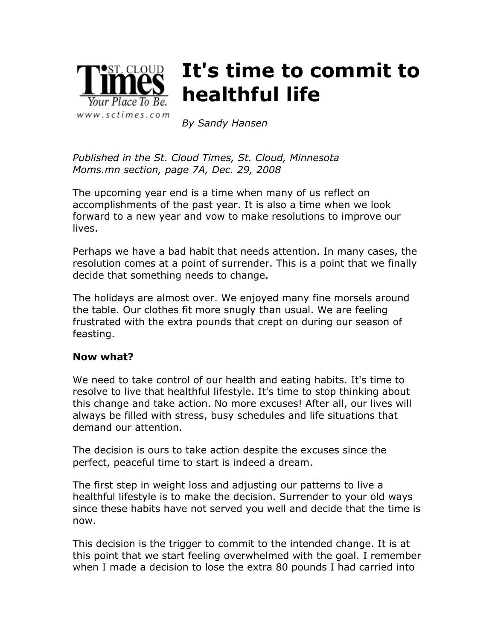

## **It's time to commit to healthful life**

*By Sandy Hansen*

*Published in the St. Cloud Times, St. Cloud, Minnesota Moms.mn section, page 7A, Dec. 29, 2008*

The upcoming year end is a time when many of us reflect on accomplishments of the past year. It is also a time when we look forward to a new year and vow to make resolutions to improve our lives.

Perhaps we have a bad habit that needs attention. In many cases, the resolution comes at a point of surrender. This is a point that we finally decide that something needs to change.

The holidays are almost over. We enjoyed many fine morsels around the table. Our clothes fit more snugly than usual. We are feeling frustrated with the extra pounds that crept on during our season of feasting.

## **Now what?**

We need to take control of our health and eating habits. It's time to resolve to live that healthful lifestyle. It's time to stop thinking about this change and take action. No more excuses! After all, our lives will always be filled with stress, busy schedules and life situations that demand our attention.

The decision is ours to take action despite the excuses since the perfect, peaceful time to start is indeed a dream.

The first step in weight loss and adjusting our patterns to live a healthful lifestyle is to make the decision. Surrender to your old ways since these habits have not served you well and decide that the time is now.

This decision is the trigger to commit to the intended change. It is at this point that we start feeling overwhelmed with the goal. I remember when I made a decision to lose the extra 80 pounds I had carried into